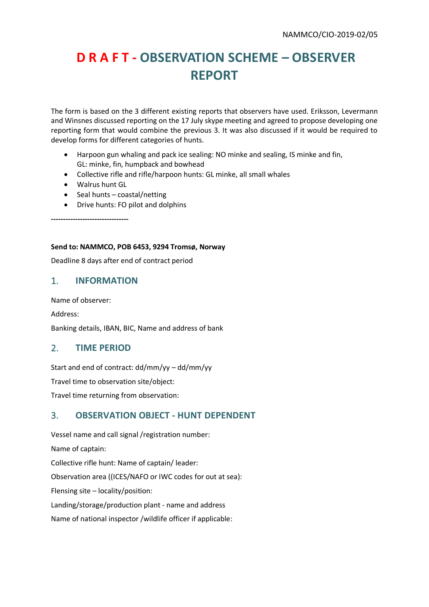# **D R A F T - OBSERVATION SCHEME – OBSERVER REPORT**

The form is based on the 3 different existing reports that observers have used. Eriksson, Levermann and Winsnes discussed reporting on the 17 July skype meeting and agreed to propose developing one reporting form that would combine the previous 3. It was also discussed if it would be required to develop forms for different categories of hunts.

- Harpoon gun whaling and pack ice sealing: NO minke and sealing, IS minke and fin, GL: minke, fin, humpback and bowhead
- Collective rifle and rifle/harpoon hunts: GL minke, all small whales
- Walrus hunt GL
- Seal hunts coastal/netting
- Drive hunts: FO pilot and dolphins

**--------------------------------**

#### **Send to: NAMMCO, POB 6453, 9294 Tromsø, Norway**

Deadline 8 days after end of contract period

### 1. **INFORMATION**

Name of observer:

Address:

Banking details, IBAN, BIC, Name and address of bank

### 2. **TIME PERIOD**

Start and end of contract: dd/mm/yy – dd/mm/yy Travel time to observation site/object: Travel time returning from observation:

# 3. **OBSERVATION OBJECT - HUNT DEPENDENT**

Vessel name and call signal /registration number: Name of captain: Collective rifle hunt: Name of captain/ leader: Observation area ((ICES/NAFO or IWC codes for out at sea): Flensing site – locality/position: Landing/storage/production plant - name and address Name of national inspector /wildlife officer if applicable: